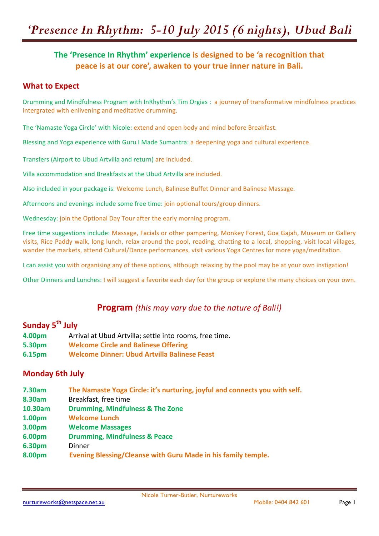# *'Presence In Rhythm: 5-10 July 2015 (6 nights), Ubud Bali*

### The 'Presence In Rhythm' experience is designed to be 'a recognition that peace is at our core', awaken to your true inner nature in Bali.

#### **What to Expect**

Drumming and Mindfulness Program with InRhythm's Tim Orgias : a journey of transformative mindfulness practices intergrated with enlivening and meditative drumming.

The 'Namaste Yoga Circle' with Nicole: extend and open body and mind before Breakfast.

Blessing and Yoga experience with Guru I Made Sumantra: a deepening yoga and cultural experience.

Transfers (Airport to Ubud Artvilla and return) are included.

Villa accommodation and Breakfasts at the Ubud Artvilla are included.

Also included in your package is: Welcome Lunch, Balinese Buffet Dinner and Balinese Massage.

Afternoons and evenings include some free time: join optional tours/group dinners.

Wednesday: join the Optional Day Tour after the early morning program.

Free time suggestions include: Massage, Facials or other pampering, Monkey Forest, Goa Gajah, Museum or Gallery visits, Rice Paddy walk, long lunch, relax around the pool, reading, chatting to a local, shopping, visit local villages, wander the markets, attend Cultural/Dance performances, visit various Yoga Centres for more yoga/meditation.

I can assist you with organising any of these options, although relaxing by the pool may be at your own instigation!

Other Dinners and Lunches: I will suggest a favorite each day for the group or explore the many choices on your own.

### **Program** (this may vary due to the nature of Bali!)

### **Sunday 5th July**

- **4.00pm** Arrival at Ubud Artvilla; settle into rooms, free time.
- **5.30pm Welcome Circle and Balinese Offering**
- **6.15pm Welcome Dinner: Ubud Artvilla Balinese Feast**

#### **Monday 6th July**

- **7.30am The Namaste Yoga Circle: it's nurturing, joyful and connects you with self.**
- **8.30am** Breakfast, free time
- **10.30am Drumming, Mindfulness & The Zone**
- **1.00pm Welcome Lunch**
- **3.00pm Welcome Massages**
- **6.00pm Drumming, Mindfulness & Peace**
- **6.30pm** Dinner
- **8.00pm** Evening Blessing/Cleanse with Guru Made in his family temple.